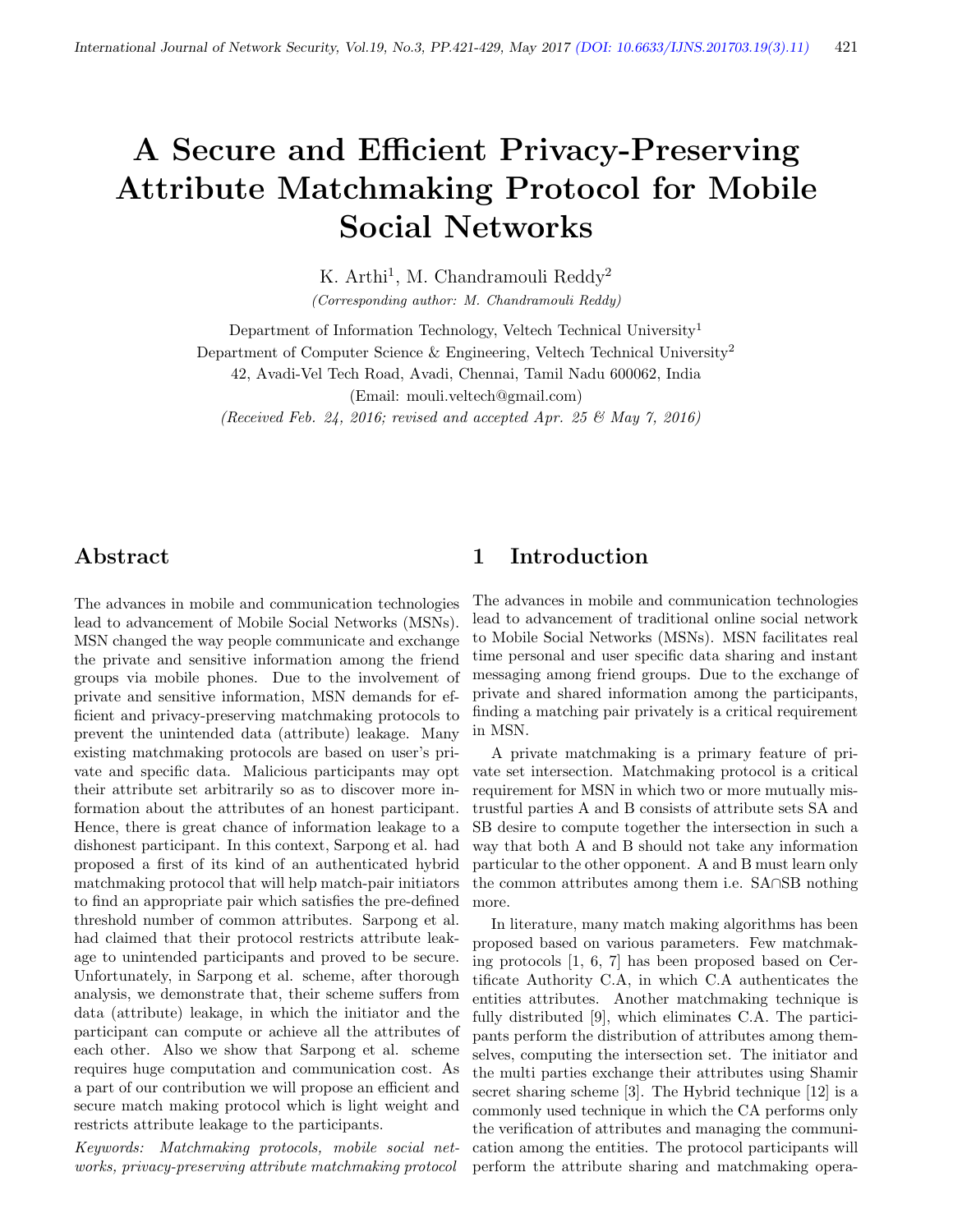# A Secure and Efficient Privacy-Preserving Attribute Matchmaking Protocol for Mobile Social Networks

K. Arthi<sup>1</sup>, M. Chandramouli Reddy<sup>2</sup> (Corresponding author: M. Chandramouli Reddy)

Department of Information Technology, Veltech Technical University<sup>1</sup> Department of Computer Science & Engineering, Veltech Technical University<sup>2</sup>

42, Avadi-Vel Tech Road, Avadi, Chennai, Tamil Nadu 600062, India

(Email: mouli.veltech@gmail.com)

(Received Feb. 24, 2016; revised and accepted Apr. 25  $\mathcal{B}$  May 7, 2016)

# Abstract

The advances in mobile and communication technologies lead to advancement of Mobile Social Networks (MSNs). MSN changed the way people communicate and exchange the private and sensitive information among the friend groups via mobile phones. Due to the involvement of private and sensitive information, MSN demands for efficient and privacy-preserving matchmaking protocols to prevent the unintended data (attribute) leakage. Many existing matchmaking protocols are based on user's private and specific data. Malicious participants may opt their attribute set arbitrarily so as to discover more information about the attributes of an honest participant. Hence, there is great chance of information leakage to a dishonest participant. In this context, Sarpong et al. had proposed a first of its kind of an authenticated hybrid matchmaking protocol that will help match-pair initiators to find an appropriate pair which satisfies the pre-defined threshold number of common attributes. Sarpong et al. had claimed that their protocol restricts attribute leakage to unintended participants and proved to be secure. Unfortunately, in Sarpong et al. scheme, after thorough analysis, we demonstrate that, their scheme suffers from data (attribute) leakage, in which the initiator and the participant can compute or achieve all the attributes of each other. Also we show that Sarpong et al. scheme requires huge computation and communication cost. As a part of our contribution we will propose an efficient and secure match making protocol which is light weight and restricts attribute leakage to the participants.

Keywords: Matchmaking protocols, mobile social networks, privacy-preserving attribute matchmaking protocol

## 1 Introduction

The advances in mobile and communication technologies lead to advancement of traditional online social network to Mobile Social Networks (MSNs). MSN facilitates real time personal and user specific data sharing and instant messaging among friend groups. Due to the exchange of private and shared information among the participants, finding a matching pair privately is a critical requirement in MSN.

A private matchmaking is a primary feature of private set intersection. Matchmaking protocol is a critical requirement for MSN in which two or more mutually mistrustful parties A and B consists of attribute sets SA and SB desire to compute together the intersection in such a way that both A and B should not take any information particular to the other opponent. A and B must learn only the common attributes among them i.e. SA∩SB nothing more.

In literature, many match making algorithms has been proposed based on various parameters. Few matchmaking protocols [1, 6, 7] has been proposed based on Certificate Authority C.A, in which C.A authenticates the entities attributes. Another matchmaking technique is fully distributed [9], which eliminates C.A. The participants perform the distribution of attributes among themselves, computing the intersection set. The initiator and the multi parties exchange their attributes using Shamir secret sharing scheme [3]. The Hybrid technique [12] is a commonly used technique in which the CA performs only the verification of attributes and managing the communication among the entities. The protocol participants will perform the attribute sharing and matchmaking opera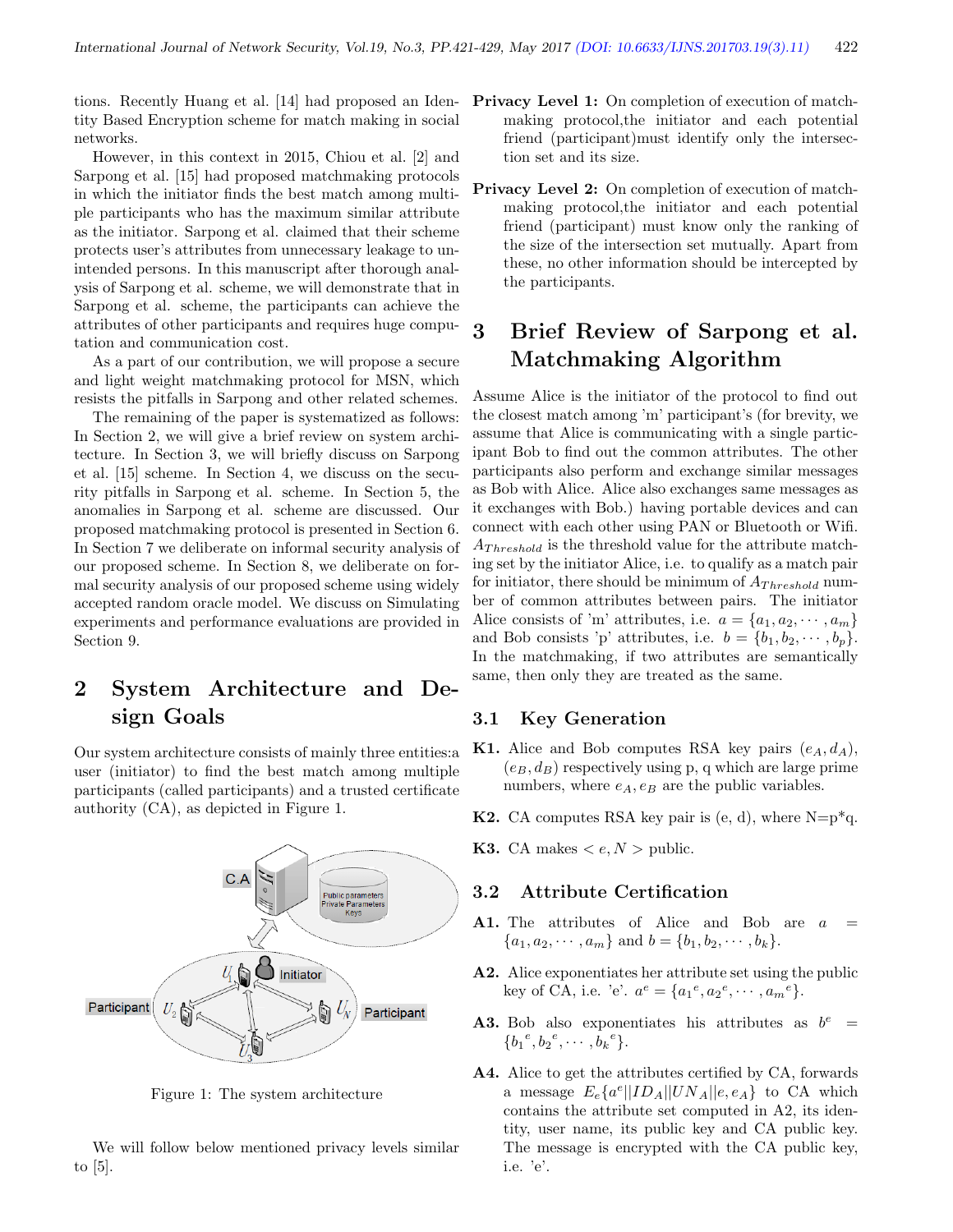tions. Recently Huang et al. [14] had proposed an Identity Based Encryption scheme for match making in social networks.

However, in this context in 2015, Chiou et al. [2] and Sarpong et al. [15] had proposed matchmaking protocols in which the initiator finds the best match among multiple participants who has the maximum similar attribute as the initiator. Sarpong et al. claimed that their scheme protects user's attributes from unnecessary leakage to unintended persons. In this manuscript after thorough analysis of Sarpong et al. scheme, we will demonstrate that in Sarpong et al. scheme, the participants can achieve the attributes of other participants and requires huge computation and communication cost.

As a part of our contribution, we will propose a secure and light weight matchmaking protocol for MSN, which resists the pitfalls in Sarpong and other related schemes.

The remaining of the paper is systematized as follows: In Section 2, we will give a brief review on system architecture. In Section 3, we will briefly discuss on Sarpong et al. [15] scheme. In Section 4, we discuss on the security pitfalls in Sarpong et al. scheme. In Section 5, the anomalies in Sarpong et al. scheme are discussed. Our proposed matchmaking protocol is presented in Section 6. In Section 7 we deliberate on informal security analysis of our proposed scheme. In Section 8, we deliberate on formal security analysis of our proposed scheme using widely accepted random oracle model. We discuss on Simulating experiments and performance evaluations are provided in Section 9.

# 2 System Architecture and Design Goals

Our system architecture consists of mainly three entities:a user (initiator) to find the best match among multiple participants (called participants) and a trusted certificate authority (CA), as depicted in Figure 1.



Figure 1: The system architecture

We will follow below mentioned privacy levels similar to [5].

- Privacy Level 1: On completion of execution of matchmaking protocol,the initiator and each potential friend (participant)must identify only the intersection set and its size.
- Privacy Level 2: On completion of execution of matchmaking protocol,the initiator and each potential friend (participant) must know only the ranking of the size of the intersection set mutually. Apart from these, no other information should be intercepted by the participants.

# 3 Brief Review of Sarpong et al. Matchmaking Algorithm

Assume Alice is the initiator of the protocol to find out the closest match among 'm' participant's (for brevity, we assume that Alice is communicating with a single participant Bob to find out the common attributes. The other participants also perform and exchange similar messages as Bob with Alice. Alice also exchanges same messages as it exchanges with Bob.) having portable devices and can connect with each other using PAN or Bluetooth or Wifi.  $A_{Threshold}$  is the threshold value for the attribute matching set by the initiator Alice, i.e. to qualify as a match pair for initiator, there should be minimum of  $A_{Threshold}$  number of common attributes between pairs. The initiator Alice consists of 'm' attributes, i.e.  $a = \{a_1, a_2, \dots, a_m\}$ and Bob consists 'p' attributes, i.e.  $b = \{b_1, b_2, \dots, b_p\}.$ In the matchmaking, if two attributes are semantically same, then only they are treated as the same.

#### 3.1 Key Generation

- **K1.** Alice and Bob computes RSA key pairs  $(e_A, d_A)$ ,  $(e_B, d_B)$  respectively using p, q which are large prime numbers, where  $e_A, e_B$  are the public variables.
- **K2.** CA computes RSA key pair is (e, d), where  $N=p^*q$ .
- **K3.** CA makes  $\lt e, N >$  public.

#### 3.2 Attribute Certification

- A1. The attributes of Alice and Bob are  $a$  ${a_1, a_2, \cdots, a_m}$  and  $b = {b_1, b_2, \cdots, b_k}.$
- A2. Alice exponentiates her attribute set using the public key of CA, i.e. 'e'.  $a^e = \{a_1^e, a_2^e, \cdots, a_m^e\}.$
- **A3.** Bob also exponentiates his attributes as  $b^e$  =  ${b_1}^e, b_2}e, \cdots, b_k}e}$
- A4. Alice to get the attributes certified by CA, forwards a message  $E_e\{a^e||ID_A||UN_A||e, e_A\}$  to CA which contains the attribute set computed in A2, its identity, user name, its public key and CA public key. The message is encrypted with the CA public key, i.e. 'e'.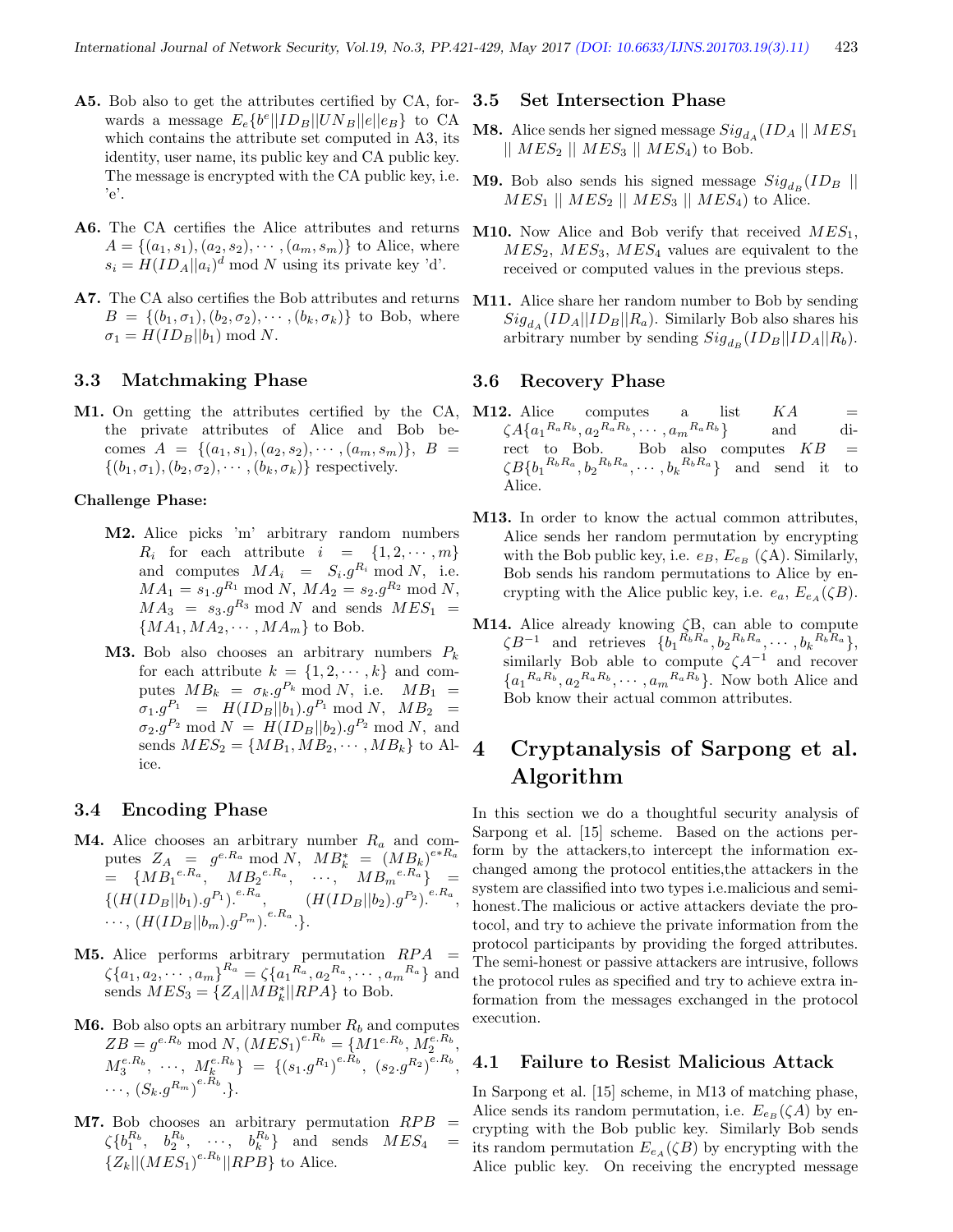- A5. Bob also to get the attributes certified by CA, forwards a message  $E_e\{b^e||ID_B||UN_B||e||e_B\}$  to CA which contains the attribute set computed in A3, its identity, user name, its public key and CA public key. The message is encrypted with the CA public key, i.e. 'e'.
- A6. The CA certifies the Alice attributes and returns  $A = \{(a_1, s_1), (a_2, s_2), \cdots, (a_m, s_m)\}\)$  to Alice, where  $s_i = H(ID_A || a_i)^d \text{ mod } N$  using its private key 'd'.
- A7. The CA also certifies the Bob attributes and returns  $B = \{(b_1, \sigma_1), (b_2, \sigma_2), \cdots, (b_k, \sigma_k)\}\)$  to Bob, where  $\sigma_1 = H(ID_B || b_1) \bmod N.$

#### 3.3 Matchmaking Phase

M1. On getting the attributes certified by the CA, the private attributes of Alice and Bob becomes  $A = \{(a_1, s_1), (a_2, s_2), \cdots, (a_m, s_m)\}, B =$  $\{(b_1,\sigma_1), (b_2,\sigma_2), \cdots, (b_k,\sigma_k)\}\)$  respectively.

#### Challenge Phase:

- M2. Alice picks 'm' arbitrary random numbers  $R_i$  for each attribute  $i = \{1, 2, \cdots, m\}$ and computes  $MA_i = S_i \cdot g^{R_i} \mod N$ , i.e.  $MA_1 = s_1.g^{R_1} \text{ mod } N$ ,  $MA_2 = s_2.g^{R_2} \text{ mod } N$ ,  $MA_3 = s_3.g^{R_3} \text{ mod } N$  and sends  $MES_1 =$  $\{MA_1, MA_2, \cdots, MA_m\}$  to Bob.
- **M3.** Bob also chooses an arbitrary numbers  $P_k$ for each attribute  $k = \{1, 2, \dots, k\}$  and computes  $MB_k = \sigma_k g^{P_k} \text{ mod } N$ , i.e.  $MB_1 =$  $\sigma_1.g^{P_1} = H(ID_B || b_1).g^{P_1} \bmod N, \ M B_2 =$  $\sigma_2.g^{P_2} \text{ mod } N = H(ID_B || b_2).g^{P_2} \text{ mod } N, \text{ and}$ sends  $MES_2 = \{MB_1, MB_2, \cdots, MB_k\}$  to Al-  $\Delta$ ice.

#### 3.4 Encoding Phase

- **M4.** Alice chooses an arbitrary number  $R_a$  and computes  $Z_A = g^{e.R_a} \mod N$ ,  $MB_k^* = (MB_k)^{e*R_a}$  $= \ \{MB_1{}^{e.R_a}, \quad MB_2{}^{e.R_a}, \quad \cdots, \quad MB_m{}^{e.R_a}\} \ \ =$  $\{ (H(ID_B || b_1) . g<sup>P<sub>1</sub></sup>) .<sup>e.R<sub>a</sub></sup>, \qquad (H(ID_B || b_2) . g<sup>P<sub>2</sub></sup>) .<sup>e.R<sub>a</sub></sup>,$  $\cdots, (H(ID_B || b_m).g^{P_m}).^{e.R_a}. \}.$
- **M5.** Alice performs arbitrary permutation  $RPA =$  $\zeta\{a_1, a_2, \cdots, a_m\}^{R_a} = \zeta\{a_1^{R_a}, a_2^{R_a}, \cdots, a_m^{R_a}\}$  and sends  $MES_3 = \{Z_A | | MB_k^*| | RPA\}$  to Bob.
- **M6.** Bob also opts an arbitrary number  $R_b$  and computes  $ZB = g^{e.R_b} \bmod N, (MES_1)^{e.R_b} = \{M1^{e.R_b}, M_2^{e.R_b},$  $M_3^{e.R_b}, \cdots, M_k^{e.R_b}$ } = { $(s_1.g^{R_1})^{e.R_b}, (s_2.g^{R_2})^{e.R_b},$  $\cdots, (S_k. g^{R_m})^{e.R_b}.\}.$
- M7. Bob chooses an arbitrary permutation  $RPB =$  $\zeta\{b_1^{R_b}, b_2^{R_b}, \cdots, b_k^{R_b}\}$  and sends  $MES_4 =$  ${Z_k||(MES_1)^{e.R_b}||RPB}$  to Alice.

#### 3.5 Set Intersection Phase

- **M8.** Alice sends her signed message  $Sig_{d_A}(ID_A \parallel MES_1)$  $|| \text{ } MES_2 \text{ } || \text{ } MES_3 \text{ } || \text{ } MES_4$  to Bob.
- **M9.** Bob also sends his signed message  $Sig_{d_B}(ID_B \parallel$  $MES_1 \parallel MES_2 \parallel MES_3 \parallel MES_4$  to Alice.
- **M10.** Now Alice and Bob verify that received  $MES_1$ ,  $MES_2$ ,  $MES_3$ ,  $MES_4$  values are equivalent to the received or computed values in the previous steps.
- M11. Alice share her random number to Bob by sending  $Sig_{dA}(ID_A||ID_B||R_a)$ . Similarly Bob also shares his arbitrary number by sending  $Sig_{d_B}(ID_B||ID_A||R_b)$ .

#### 3.6 Recovery Phase

- **M12.** Alice computes a list  $KA =$  $\zeta A\{a_1{}^{R_a R_b}, a_2{}^{R_a R_b}, \cdots, a_m{}^{R_a R_b}\}$  and direct to Bob. Bob also computes  $KB =$  $\zeta B\{b_1{}^{R_b R_a}, b_2{}^{R_b R_a}, \cdots, b_k{}^{R_b R_a}\}$  and send it to Alice.
- M13. In order to know the actual common attributes, Alice sends her random permutation by encrypting with the Bob public key, i.e.  $e_B$ ,  $E_{e_B}$  ( $\zeta$ A). Similarly, Bob sends his random permutations to Alice by encrypting with the Alice public key, i.e.  $e_a$ ,  $E_{e_A}(\zeta B)$ .
- **M14.** Alice already knowing  $\zeta$ B, can able to compute  $\zeta B^{-1}$  and retrieves  $\{b_1^{R_bR_a}, b_2^{R_bR_a}, \cdots, b_k^{R_bR_a}\},$ similarly Bob able to compute  $\zeta A^{-1}$  and recover  ${a_1}^{R_a R_b}, a_2 R_a R_b, \cdots, a_m R_a R_b$ . Now both Alice and Bob know their actual common attributes.

# 4 Cryptanalysis of Sarpong et al. Algorithm

In this section we do a thoughtful security analysis of Sarpong et al. [15] scheme. Based on the actions perform by the attackers,to intercept the information exchanged among the protocol entities,the attackers in the system are classified into two types i.e.malicious and semihonest.The malicious or active attackers deviate the protocol, and try to achieve the private information from the protocol participants by providing the forged attributes. The semi-honest or passive attackers are intrusive, follows the protocol rules as specified and try to achieve extra information from the messages exchanged in the protocol execution.

#### 4.1 Failure to Resist Malicious Attack

In Sarpong et al. [15] scheme, in M13 of matching phase, Alice sends its random permutation, i.e.  $E_{e_B}(\zeta A)$  by encrypting with the Bob public key. Similarly Bob sends its random permutation  $E_{e_4}(\zeta B)$  by encrypting with the Alice public key. On receiving the encrypted message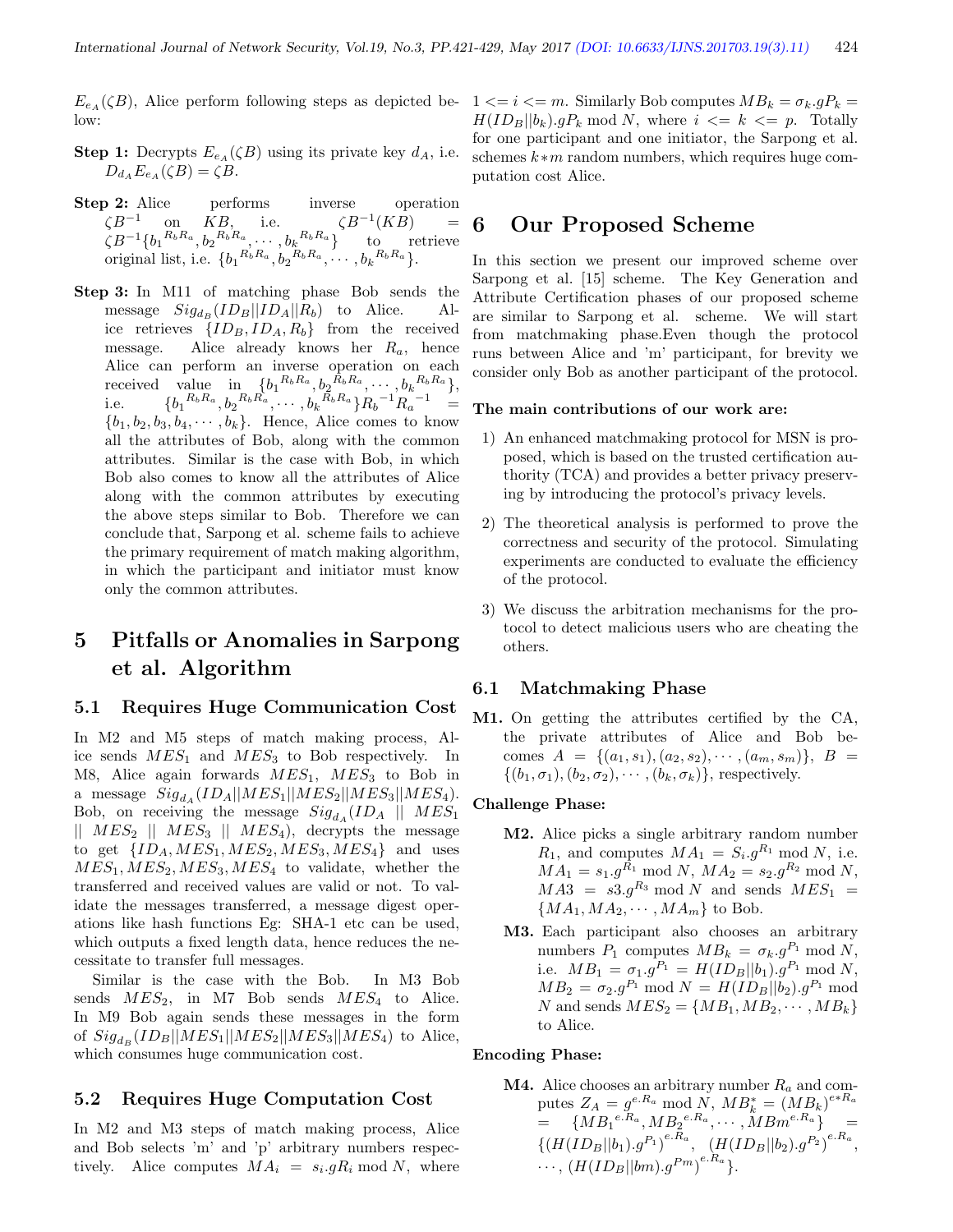low:

- **Step 1:** Decrypts  $E_{e_A}(\zeta B)$  using its private key  $d_A$ , i.e.  $D_{d_A} E_{e_A}(\zeta B) = \zeta B.$
- Step 2: Alice performs inverse operation  $\zeta B^{-1}$  on KB, i.e.  $\zeta B^{-1}(KB)$  =  $\zeta B^{-1} \{ b_1{}^{R_b R_a}, b_2{}^{R_b R_a}, \cdots, b_k{}^{R_b R_a} \} \hspace{5mm} \text{to} \hspace{5mm} \text{retrieve}$ original list, i.e.  $\{b_1^{R_b R_a}, b_2^{R_b R_a}, \cdots, b_k^{R_b R_a}\}.$
- Step 3: In M11 of matching phase Bob sends the message  $Sig_{d_B}(ID_B||ID_A||R_b)$  to Alice. Alice retrieves  $\{ID_B, ID_A, R_b\}$  from the received message. Alice already knows her  $R_a$ , hence Alice can perform an inverse operation on each received value in  $\{b_1^{R_bR_a}, b_2^{R_bR_a}, \cdots, b_k^{R_bR_a}\},$ i.e.  $\{b_1^{R_b R_a}, b_2^{R_b R_a}, \cdots, b_k^{R_b R_a}\} R_b^{-1} R_a^{-1} =$  ${b_1, b_2, b_3, b_4, \cdots, b_k}$ . Hence, Alice comes to know all the attributes of Bob, along with the common attributes. Similar is the case with Bob, in which Bob also comes to know all the attributes of Alice along with the common attributes by executing the above steps similar to Bob. Therefore we can conclude that, Sarpong et al. scheme fails to achieve the primary requirement of match making algorithm, in which the participant and initiator must know only the common attributes.

# 5 Pitfalls or Anomalies in Sarpong et al. Algorithm

#### 5.1 Requires Huge Communication Cost

In M2 and M5 steps of match making process, Alice sends  $MES_1$  and  $MES_3$  to Bob respectively. In M8, Alice again forwards  $MES_1$ ,  $MES_3$  to Bob in a message  $Sig_{d_A}(ID_A||MES_1||MES_2||MES_3||MES_4)$ . Bob, on receiving the message  $Sig_{d_A}(ID_A \parallel MES_1)$  $||$   $MES_2$   $||$   $MES_3$   $||$   $MES_4$ , decrypts the message to get  $\{ID_A, MES_1, MES_2, MES_3, MES_4\}$  and uses  $MES_1, MES_2, MES_3, MES_4$  to validate, whether the transferred and received values are valid or not. To validate the messages transferred, a message digest operations like hash functions Eg: SHA-1 etc can be used, which outputs a fixed length data, hence reduces the necessitate to transfer full messages.

Similar is the case with the Bob. In M3 Bob sends  $MES_2$ , in M7 Bob sends  $MES_4$  to Alice. In M9 Bob again sends these messages in the form of  $Sig_{d_B}(ID_B||MES_1||MES_2||MES_3||MES_4)$  to Alice, which consumes huge communication cost.

#### 5.2 Requires Huge Computation Cost

In M2 and M3 steps of match making process, Alice and Bob selects 'm' and 'p' arbitrary numbers respectively. Alice computes  $MA_i = s_i.gR_i \text{ mod } N$ , where

 $E_{e_A}(\zeta B)$ , Alice perform following steps as depicted be-  $1 \le i \le m$ . Similarly Bob computes  $MB_k = \sigma_k g P_k =$  $H(ID_B||b_k).gP_k \text{ mod } N$ , where  $i \leq k \leq p$ . Totally for one participant and one initiator, the Sarpong et al. schemes  $k*m$  random numbers, which requires huge computation cost Alice.

## 6 Our Proposed Scheme

In this section we present our improved scheme over Sarpong et al. [15] scheme. The Key Generation and Attribute Certification phases of our proposed scheme are similar to Sarpong et al. scheme. We will start from matchmaking phase.Even though the protocol runs between Alice and 'm' participant, for brevity we consider only Bob as another participant of the protocol.

#### The main contributions of our work are:

- 1) An enhanced matchmaking protocol for MSN is proposed, which is based on the trusted certification authority (TCA) and provides a better privacy preserving by introducing the protocol's privacy levels.
- 2) The theoretical analysis is performed to prove the correctness and security of the protocol. Simulating experiments are conducted to evaluate the efficiency of the protocol.
- 3) We discuss the arbitration mechanisms for the protocol to detect malicious users who are cheating the others.

#### 6.1 Matchmaking Phase

M1. On getting the attributes certified by the CA, the private attributes of Alice and Bob becomes  $A = \{(a_1, s_1), (a_2, s_2), \cdots, (a_m, s_m)\}, B =$  $\{(b_1,\sigma_1), (b_2,\sigma_2), \cdots, (b_k,\sigma_k)\}\text{, respectively.}$ 

#### Challenge Phase:

- M2. Alice picks a single arbitrary random number  $R_1$ , and computes  $MA_1 = S_i \cdot g^{R_1} \text{ mod } N$ , i.e.  $MA_1 = s_1.g^{\hat{R}_1} \text{ mod } N, MA_2 = s_2.g^{R_2} \text{ mod } N,$  $M A3 = s3. g<sup>R<sub>3</sub></sup>$  mod N and sends  $M E S<sub>1</sub>$  =  ${MA_1, MA_2, \cdots, MA_m}$  to Bob.
- M3. Each participant also chooses an arbitrary numbers  $P_1$  computes  $MB_k = \sigma_k . g^{P_1} \text{ mod } N$ , i.e.  $MB_1 = \sigma_1 \cdot g^{P_1} = H(ID_B || b_1) \cdot g^{P_1} \text{ mod } N,$  $MB_2 = \sigma_2.g^{P_1} \text{ mod } N = H(ID_B || b_2).g^{P_1} \text{ mod } N$ N and sends  $MES_2 = \{MB_1, MB_2, \cdots, MB_k\}$ to Alice.

#### Encoding Phase:

**M4.** Alice chooses an arbitrary number  $R_a$  and computes  $Z_A = g^{e.R_a} \mod N$ ,  $MB_k^* = (MB_k)^{e*R_a}$  $= \{MB_1^{e.R_a}, MB_2^{e.R_a}, \cdots, MB_m^{e.R_a}\}$  =  $\{(H(ID_B||b_1).g^{P_1})^{e.R_a}, (H(ID_B||b_2).g^{P_2})^{e.R_a},$  $\cdots, (H(ID_B || bm).g^{Pm})^{e.R_a} \}.$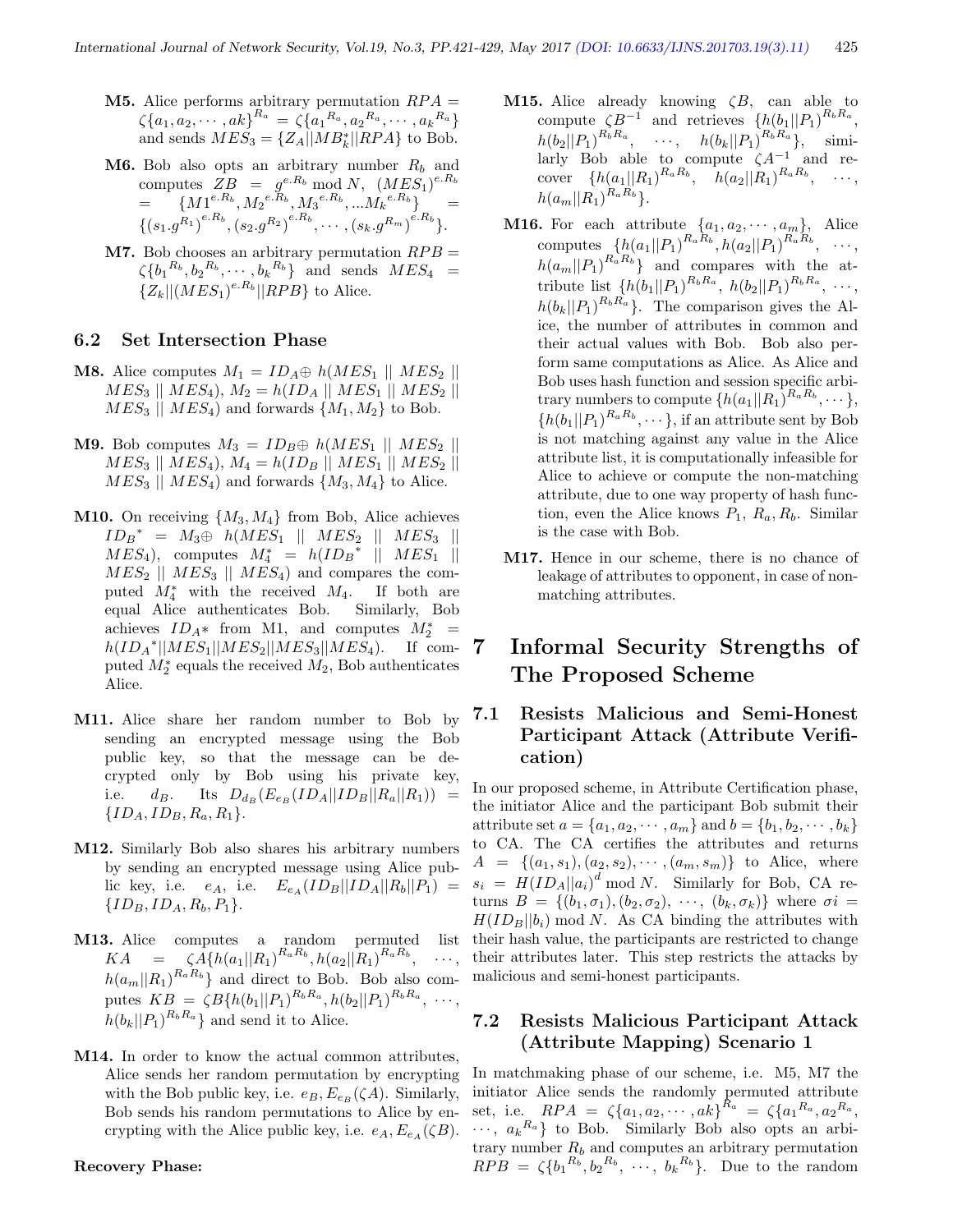- **M5.** Alice performs arbitrary permutation  $RPA =$  $\zeta\{a_1,a_2,\cdots,ak\}^{R_a} = \zeta\{a_1^{R_a},a_2^{R_a},\cdots,a_k^{R_a}\}$ and sends  $MES_3 = \{Z_A | | MB_k^*| | RPA\}$  to Bob.
- **M6.** Bob also opts an arbitrary number  $R_b$  and computes  $\overline{ZB} = g^{e.R_b} \mod N$ ,  $(MES_1)^{e.R_b}$  $= \quad \, \left\{ M1^{e.R_b}, M_2{}^{e.R_b}, M_3{}^{e.R_b}, ... M_k{}^{e.R_b} \right\} \quad =$  $\{(s_1.g^{R_1})^{e.R_b}, (s_2.g^{R_2})^{e.R_b}, \cdots, (s_k.g^{R_m})^{e.R_b}\}.$
- **M7.** Bob chooses an arbitrary permutation  $RPB =$  $\zeta\{b_1{}^{R_b}, b_2{}^{R_b}, \cdots, b_k{}^{R_b}\}$  and sends  $MES_4 =$  $\{Z_k | | (MES_1)^{e.R_b} | | RPB \}$  to Alice.

#### 6.2 Set Intersection Phase

- **M8.** Alice computes  $M_1 = ID_A \oplus h(MES_1 \parallel MES_2 \parallel$  $MES_3 \parallel MES_4$ ,  $M_2 = h(ID_A \parallel MES_1 \parallel MES_2 \parallel n$  $MES_3 \parallel MES_4$ ) and forwards  $\{M_1, M_2\}$  to Bob.
- **M9.** Bob computes  $M_3 = ID_B \oplus h(MES_1 \parallel MES_2 \parallel$  $MES_3 \parallel MES_4$ ,  $M_4 = h(ID_B \parallel MES_1 \parallel MES_2 \parallel$  $MES_3 \parallel MES_4$  and forwards  $\{M_3, M_4\}$  to Alice.
- **M10.** On receiving  $\{M_3, M_4\}$  from Bob, Alice achieves  $ID_B^* = M_3 \oplus \left[ h(MES_1 \parallel MES_2 \parallel MES_3 \parallel \right]$  $MES_4$ ), computes  $M_4^* = h(ID_B^* \parallel MES_1 \parallel$  $MES_2$  ||  $MES_3$  ||  $MES_4$ ) and compares the computed  $M_4^*$  with the received  $M_4$ . If both are equal Alice authenticates Bob. Similarly, Bob achieves  $ID_A*$  from M1, and computes  $M_2^*$  =  $h(ID_A^* || MES_1 || MES_2 || MES_3 || MES_4$ ). If computed  $M_2^*$  equals the received  $M_2$ , Bob authenticates Alice.
- M11. Alice share her random number to Bob by sending an encrypted message using the Bob public key, so that the message can be decrypted only by Bob using his private key, i.e.  $d_B$ . Its  $D_{d_B}(E_{e_B}(ID_A||ID_B||R_a||R_1))$  =  $\{ID_A, ID_B, R_a, R_1\}.$
- M12. Similarly Bob also shares his arbitrary numbers by sending an encrypted message using Alice public key, i.e.  $e_A$ , i.e.  $E_{e_A}(ID_B||ID_A||R_b||P_1) =$  $\{ID_B, ID_A, R_b, P_1\}.$
- M13. Alice computes a random permuted list  $KA = \zeta A \{h(a_1 || R_1)^{R_a R_b}, h(a_2 || R_1)^{R_a R_b}\}$ , · · · ,  $h(a_m||R_1)^{R_aR_b}$  and direct to Bob. Bob also computes  $KB = \zeta B \{ h(b_1 || P_1)^{R_b R_a}, h(b_2 || P_1)^{R_b R_a}, \dots,$  $h(b_k||P_1)^{R_bR_a}$  and send it to Alice.
- M14. In order to know the actual common attributes, Alice sends her random permutation by encrypting with the Bob public key, i.e.  $e_B$ ,  $E_{e_B}(\zeta A)$ . Similarly, Bob sends his random permutations to Alice by encrypting with the Alice public key, i.e.  $e_A, E_{e_A}(\zeta B)$ .

#### Recovery Phase:

- **M15.** Alice already knowing  $\zeta B$ , can able to compute  $\zeta B^{-1}$  and retrieves  $\{h(b_1||P_1)^{R_b R_a},\}$  $h(b_2||P_1)^{R_bR_a}, \quad \cdots, \quad h(b_k||P_1)^{R_bR_a}\}, \quad \text{simi-1}$ larly Bob able to compute  $\zeta A^{-1}$  and recover  $\{h(a_1||R_1)^{R_a R_b}, \quad h(a_2||R_1)^{R_a R_b}, \quad \cdots,$  $h(a_m||R_1)^{R_a R_b}$ .
- **M16.** For each attribute  $\{a_1, a_2, \dots, a_m\}$ , Alice computes  $\{h(a_1||P_1)^{R_a R_b}, h(a_2||P_1)^{R_a R_b}, \dots,$  $h(a_m||P_1)^{R_aR_b}$  and compares with the attribute list  $\{h(b_1||P_1)^{R_b R_a}, h(b_2||P_1)^{R_b R_a}, \dots,$  $h(b_k||P_1)^{R_bR_a}$ . The comparison gives the Alice, the number of attributes in common and their actual values with Bob. Bob also perform same computations as Alice. As Alice and Bob uses hash function and session specific arbitrary numbers to compute  $\{h(a_1||R_1)^{R_a R_b}, \dots\},\$  ${h(b_1||P_1)}^{R_a R_b}, \dots$ , if an attribute sent by Bob is not matching against any value in the Alice attribute list, it is computationally infeasible for Alice to achieve or compute the non-matching attribute, due to one way property of hash function, even the Alice knows  $P_1, R_a, R_b$ . Similar is the case with Bob.
- M17. Hence in our scheme, there is no chance of leakage of attributes to opponent, in case of nonmatching attributes.

# 7 Informal Security Strengths of The Proposed Scheme

### 7.1 Resists Malicious and Semi-Honest Participant Attack (Attribute Verification)

In our proposed scheme, in Attribute Certification phase, the initiator Alice and the participant Bob submit their attribute set  $a = \{a_1, a_2, \dots, a_m\}$  and  $b = \{b_1, b_2, \dots, b_k\}$ to CA. The CA certifies the attributes and returns  $A = \{(a_1, s_1), (a_2, s_2), \cdots, (a_m, s_m)\}\$ to Alice, where  $s_i = H(ID_A || a_i)^d \mod N$ . Similarly for Bob, CA returns  $B = \{(b_1, \sigma_1), (b_2, \sigma_2), \cdots, (b_k, \sigma_k)\}\$  where  $\sigma i =$  $H(ID_B||b_i) \text{ mod } N$ . As CA binding the attributes with their hash value, the participants are restricted to change their attributes later. This step restricts the attacks by malicious and semi-honest participants.

### 7.2 Resists Malicious Participant Attack (Attribute Mapping) Scenario 1

In matchmaking phase of our scheme, i.e. M5, M7 the initiator Alice sends the randomly permuted attribute set, i.e.  $RPA = \zeta\{a_1, a_2, \cdots, a_k\}^{\bar{R}_a} = \zeta\{a_1^{R_a}, a_2^{R_a}, \cdots, a_k^{R_a}\}$  $\cdots, a_k^{R_a}$  to Bob. Similarly Bob also opts an arbitrary number  $R_b$  and computes an arbitrary permutation  $RPB = \zeta \{b_1^{R_b}, b_2^{R_b}, \cdots, b_k^{R_b}\}.$  Due to the random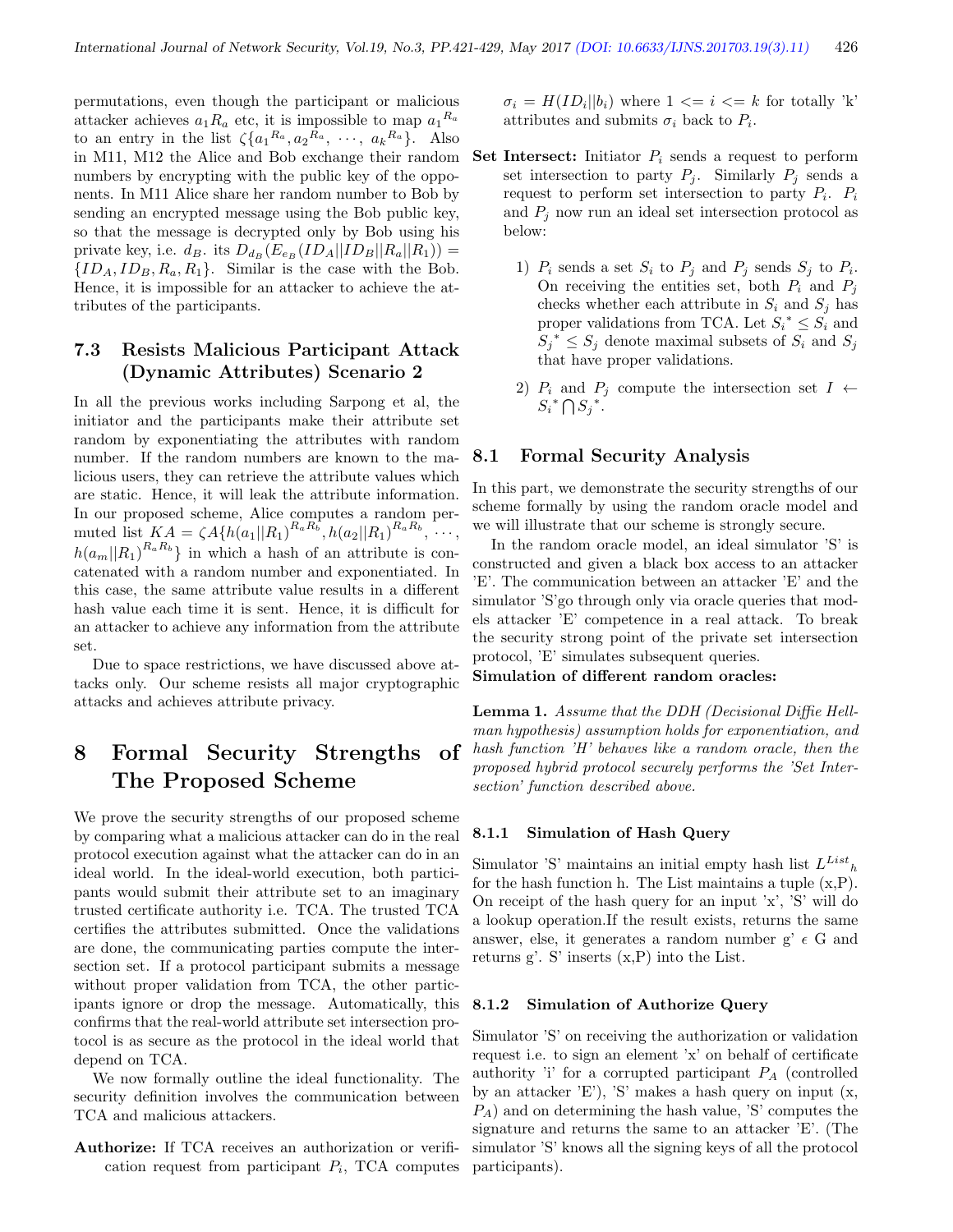permutations, even though the participant or malicious attacker achieves  $a_1 R_a$  etc, it is impossible to map  $a_1^{R_a}$ to an entry in the list  $\zeta\{a_1^{R_a}, a_2^{R_a}, \cdots, a_k^{R_a}\}.$  Also in M11, M12 the Alice and Bob exchange their random numbers by encrypting with the public key of the opponents. In M11 Alice share her random number to Bob by sending an encrypted message using the Bob public key, so that the message is decrypted only by Bob using his private key, i.e.  $d_B$ . its  $D_{d_B}(E_{e_B}(ID_A||ID_B||R_a||R_1)) =$  $\{ID_A, ID_B, R_a, R_1\}.$  Similar is the case with the Bob. Hence, it is impossible for an attacker to achieve the attributes of the participants.

### 7.3 Resists Malicious Participant Attack (Dynamic Attributes) Scenario 2

In all the previous works including Sarpong et al, the initiator and the participants make their attribute set random by exponentiating the attributes with random number. If the random numbers are known to the malicious users, they can retrieve the attribute values which are static. Hence, it will leak the attribute information. In our proposed scheme, Alice computes a random permuted list  $KA = \zeta A \{h(a_1||R_1)^{R_a R_b}, h(a_2||R_1)^{R_a R_b}, \dots,$  $h(a_m||R_1)^{R_aR_b}$  in which a hash of an attribute is concatenated with a random number and exponentiated. In this case, the same attribute value results in a different hash value each time it is sent. Hence, it is difficult for an attacker to achieve any information from the attribute set.

Due to space restrictions, we have discussed above attacks only. Our scheme resists all major cryptographic attacks and achieves attribute privacy.

# 8 Formal Security Strengths of The Proposed Scheme

We prove the security strengths of our proposed scheme by comparing what a malicious attacker can do in the real protocol execution against what the attacker can do in an ideal world. In the ideal-world execution, both participants would submit their attribute set to an imaginary trusted certificate authority i.e. TCA. The trusted TCA certifies the attributes submitted. Once the validations are done, the communicating parties compute the intersection set. If a protocol participant submits a message without proper validation from TCA, the other participants ignore or drop the message. Automatically, this confirms that the real-world attribute set intersection protocol is as secure as the protocol in the ideal world that depend on TCA.

We now formally outline the ideal functionality. The security definition involves the communication between TCA and malicious attackers.

Authorize: If TCA receives an authorization or verification request from participant  $P_i$ , TCA computes  $\sigma_i = H(ID_i || b_i)$  where  $1 \leq i \leq k$  for totally 'k' attributes and submits  $\sigma_i$  back to  $P_i$ .

- Set Intersect: Initiator  $P_i$  sends a request to perform set intersection to party  $P_i$ . Similarly  $P_i$  sends a request to perform set intersection to party  $P_i$ .  $P_i$ and  $P_i$  now run an ideal set intersection protocol as below:
	- 1)  $P_i$  sends a set  $S_i$  to  $P_j$  and  $P_j$  sends  $S_j$  to  $P_i$ . On receiving the entities set, both  $P_i$  and  $P_j$ checks whether each attribute in  $S_i$  and  $S_j$  has proper validations from TCA. Let  $S_i^* \leq S_i$  and  $S_j^* \leq S_j$  denote maximal subsets of  $S_i$  and  $S_j$ that have proper validations.
	- 2)  $P_i$  and  $P_j$  compute the intersection set  $I \leftarrow$  $S_i^* \bigcap S_j^*.$

#### 8.1 Formal Security Analysis

In this part, we demonstrate the security strengths of our scheme formally by using the random oracle model and we will illustrate that our scheme is strongly secure.

In the random oracle model, an ideal simulator 'S' is constructed and given a black box access to an attacker 'E'. The communication between an attacker 'E' and the simulator 'S'go through only via oracle queries that models attacker 'E' competence in a real attack. To break the security strong point of the private set intersection protocol, 'E' simulates subsequent queries.

Simulation of different random oracles:

Lemma 1. Assume that the DDH (Decisional Diffie Hellman hypothesis) assumption holds for exponentiation, and hash function 'H' behaves like a random oracle, then the proposed hybrid protocol securely performs the 'Set Intersection' function described above.

#### 8.1.1 Simulation of Hash Query

Simulator 'S' maintains an initial empty hash list  $L^{List}{}_{h}$ for the hash function h. The List maintains a tuple (x,P). On receipt of the hash query for an input 'x', 'S' will do a lookup operation.If the result exists, returns the same answer, else, it generates a random number  $g' \in G$  and returns  $g'$ . S' inserts  $(x,P)$  into the List.

#### 8.1.2 Simulation of Authorize Query

Simulator 'S' on receiving the authorization or validation request i.e. to sign an element 'x' on behalf of certificate authority 'i' for a corrupted participant  $P_A$  (controlled by an attacker 'E'), 'S' makes a hash query on input (x,  $P_A$ ) and on determining the hash value, 'S' computes the signature and returns the same to an attacker 'E'. (The simulator 'S' knows all the signing keys of all the protocol participants).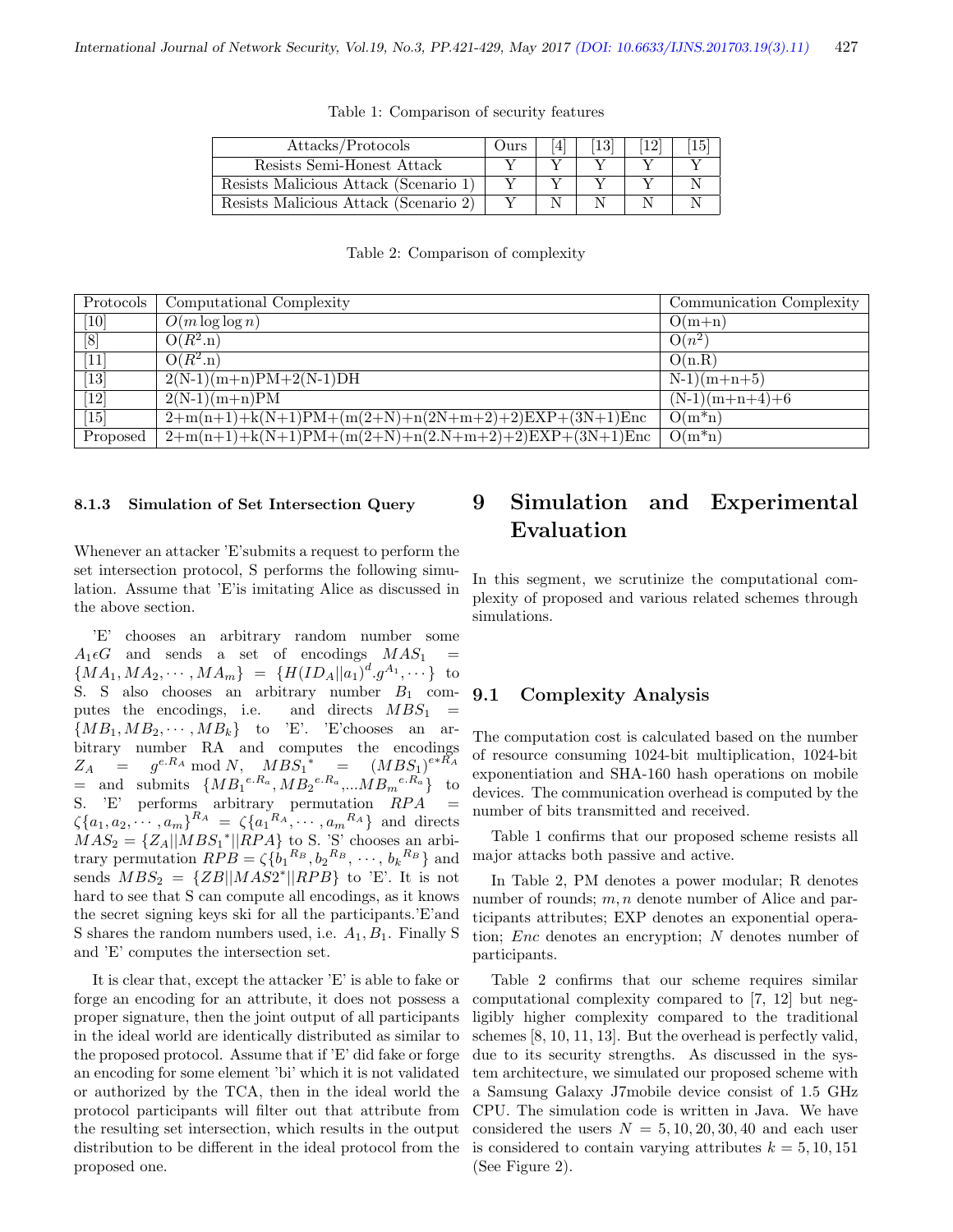| Attacks/Protocols                     | Ours) | $13^{\circ}$ |  |
|---------------------------------------|-------|--------------|--|
| Resists Semi-Honest Attack            |       |              |  |
| Resists Malicious Attack (Scenario 1) |       |              |  |
| Resists Malicious Attack (Scenario 2) |       |              |  |

Table 1: Comparison of security features

Table 2: Comparison of complexity

| Protocols                     | Computational Complexity                               | Communication Complexity              |
|-------------------------------|--------------------------------------------------------|---------------------------------------|
| [10]                          | $O(m \log \log n)$                                     | $O(m+n)$                              |
| [8]                           | $O(R^2.n)$                                             | $O(n^2)$                              |
| $\left\lceil 11 \right\rceil$ | $O(R^2.n)$                                             | O(n.R)                                |
| $\overline{13}$               | $2(N-1)(m+n)PM+2(N-1)DH$                               | $N-1(m+n+5)$                          |
| $[12]$                        | $2(N-1)(m+n)PM$                                        | $\frac{(N-1)(m+n+4)+6}{(N-1)(m+n+4)}$ |
| $[15]$                        | $2+m(n+1)+k(N+1)PM+(m(2+N)+n(2N+m+2)+2)EXP+(3N+1)Enc$  | $O(m*n)$                              |
| Proposed                      | $2+m(n+1)+k(N+1)PM+(m(2+N)+n(2.N+m+2)+2)EXP+(3N+1)Enc$ | $O(m*n)$                              |

#### 8.1.3 Simulation of Set Intersection Query

Whenever an attacker 'E'submits a request to perform the set intersection protocol, S performs the following simulation. Assume that 'E'is imitating Alice as discussed in the above section.

'E' chooses an arbitrary random number some  $A_1 \epsilon G$  and sends a set of encodings  $MAS_1$  =  ${MA_1, MA_2, \cdots, MA_m} = {H(ID_A || a_1)^d.g^{A_1}, \cdots}$  to S. S also chooses an arbitrary number  $B_1$  computes the encodings, i.e. and directs  $MBS_1$  =  ${MB_1, MB_2, \cdots, MB_k}$  to 'E'. 'E'chooses an arbitrary number RA and computes the encodings  $Z_A$  =  $e^{iR_A} \bmod N$ ,  $MBS_1^* = (MBS_1)^{e*R_A}$ = and submits  $\{MB_1^{e.R_a}, MB_2^{e.R_a}, ...MB_m^{e.R_a}\}\$  to S.  $E'$  performs arbitrary permutation  $RPA =$  $\zeta\{a_1, a_2, \cdots, a_m\}^{R_A} = \zeta\{a_1^{R_A}, \cdots, a_m^{R_A}\}\$ and directs  $MAS_2 = \{Z_A \mid |MBS_1^*||RPA\}$  to S. 'S' chooses an arbitrary permutation  $RPB = \zeta \{b_1^{R_B}, b_2^{R_B}, \dots, b_k^{R_B}\}$  and sends  $MBS_2 = \{ZB \mid MAS2^* \mid \mid RPB\}$  to 'E'. It is not hard to see that S can compute all encodings, as it knows the secret signing keys ski for all the participants.'E'and S shares the random numbers used, i.e.  $A_1, B_1$ . Finally S and 'E' computes the intersection set.

It is clear that, except the attacker 'E' is able to fake or forge an encoding for an attribute, it does not possess a proper signature, then the joint output of all participants in the ideal world are identically distributed as similar to the proposed protocol. Assume that if 'E' did fake or forge an encoding for some element 'bi' which it is not validated or authorized by the TCA, then in the ideal world the protocol participants will filter out that attribute from the resulting set intersection, which results in the output distribution to be different in the ideal protocol from the proposed one.

# 9 Simulation and Experimental Evaluation

In this segment, we scrutinize the computational complexity of proposed and various related schemes through simulations.

#### 9.1 Complexity Analysis

The computation cost is calculated based on the number of resource consuming 1024-bit multiplication, 1024-bit exponentiation and SHA-160 hash operations on mobile devices. The communication overhead is computed by the number of bits transmitted and received.

Table 1 confirms that our proposed scheme resists all major attacks both passive and active.

In Table 2, PM denotes a power modular; R denotes number of rounds;  $m, n$  denote number of Alice and participants attributes; EXP denotes an exponential operation; Enc denotes an encryption; N denotes number of participants.

Table 2 confirms that our scheme requires similar computational complexity compared to [7, 12] but negligibly higher complexity compared to the traditional schemes [8, 10, 11, 13]. But the overhead is perfectly valid, due to its security strengths. As discussed in the system architecture, we simulated our proposed scheme with a Samsung Galaxy J7mobile device consist of 1.5 GHz CPU. The simulation code is written in Java. We have considered the users  $N = 5, 10, 20, 30, 40$  and each user is considered to contain varying attributes  $k = 5, 10, 151$ (See Figure 2).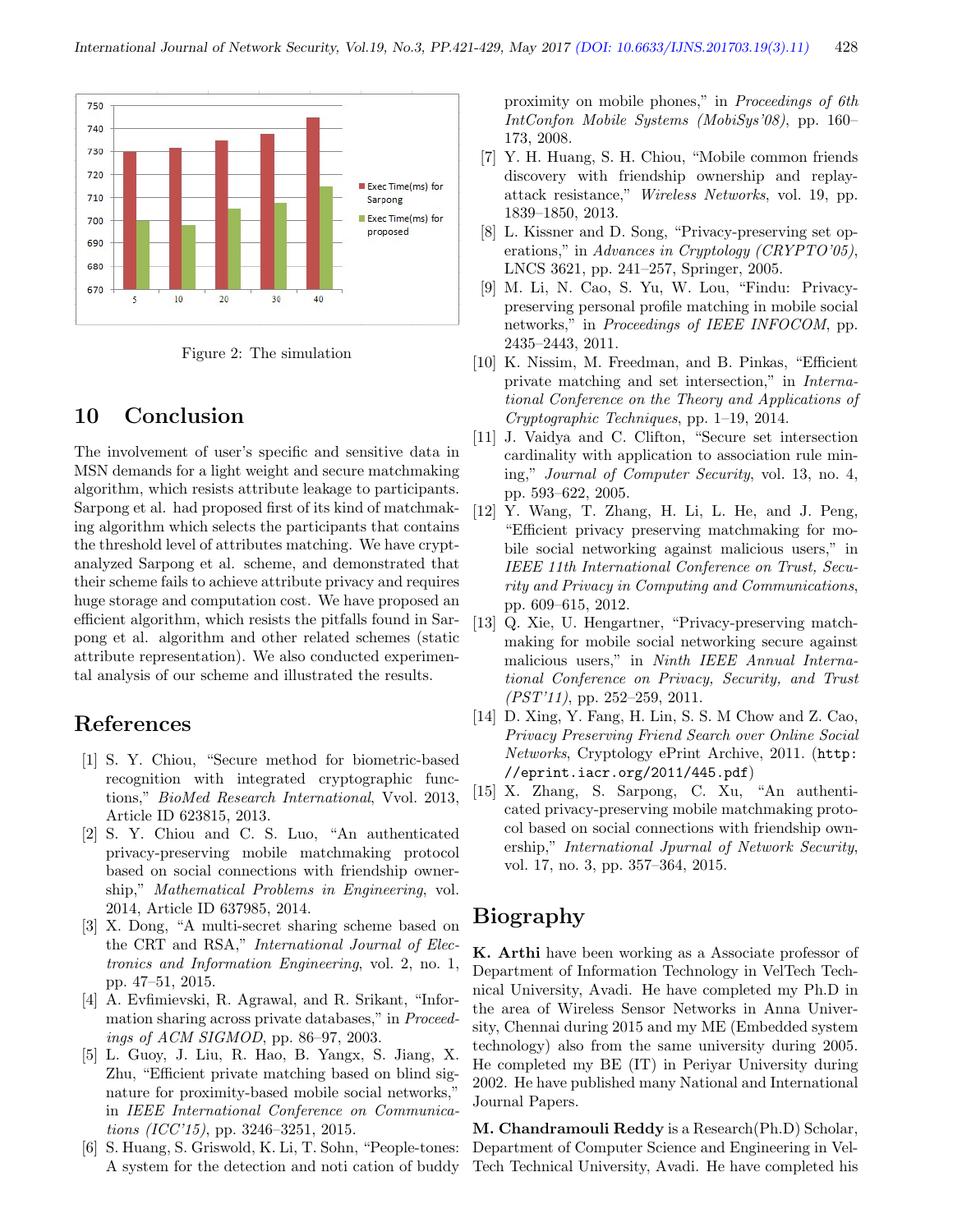

Figure 2: The simulation

### 10 Conclusion

The involvement of user's specific and sensitive data in MSN demands for a light weight and secure matchmaking algorithm, which resists attribute leakage to participants. Sarpong et al. had proposed first of its kind of matchmaking algorithm which selects the participants that contains the threshold level of attributes matching. We have cryptanalyzed Sarpong et al. scheme, and demonstrated that their scheme fails to achieve attribute privacy and requires huge storage and computation cost. We have proposed an efficient algorithm, which resists the pitfalls found in Sarpong et al. algorithm and other related schemes (static attribute representation). We also conducted experimental analysis of our scheme and illustrated the results.

### References

- [1] S. Y. Chiou, "Secure method for biometric-based recognition with integrated cryptographic functions," BioMed Research International, Vvol. 2013, Article ID 623815, 2013.
- [2] S. Y. Chiou and C. S. Luo, "An authenticated privacy-preserving mobile matchmaking protocol based on social connections with friendship ownership," Mathematical Problems in Engineering, vol. 2014, Article ID 637985, 2014.
- [3] X. Dong, "A multi-secret sharing scheme based on the CRT and RSA," International Journal of Electronics and Information Engineering, vol. 2, no. 1, pp. 47–51, 2015.
- [4] A. Evfimievski, R. Agrawal, and R. Srikant, "Information sharing across private databases," in Proceedings of ACM SIGMOD, pp. 86–97, 2003.
- [5] L. Guoy, J. Liu, R. Hao, B. Yangx, S. Jiang, X. Zhu, "Efficient private matching based on blind signature for proximity-based mobile social networks," in IEEE International Conference on Communications (ICC'15), pp. 3246–3251, 2015.
- [6] S. Huang, S. Griswold, K. Li, T. Sohn, "People-tones: A system for the detection and noti cation of buddy

proximity on mobile phones," in Proceedings of 6th IntConfon Mobile Systems (MobiSys'08), pp. 160– 173, 2008.

- [7] Y. H. Huang, S. H. Chiou, "Mobile common friends discovery with friendship ownership and replayattack resistance," Wireless Networks, vol. 19, pp. 1839–1850, 2013.
- [8] L. Kissner and D. Song, "Privacy-preserving set operations," in Advances in Cryptology (CRYPTO'05), LNCS 3621, pp. 241–257, Springer, 2005.
- [9] M. Li, N. Cao, S. Yu, W. Lou, "Findu: Privacypreserving personal profile matching in mobile social networks," in *Proceedings of IEEE INFOCOM*, pp. 2435–2443, 2011.
- [10] K. Nissim, M. Freedman, and B. Pinkas, "Efficient private matching and set intersection," in International Conference on the Theory and Applications of Cryptographic Techniques, pp. 1–19, 2014.
- [11] J. Vaidya and C. Clifton, "Secure set intersection cardinality with application to association rule mining," Journal of Computer Security, vol. 13, no. 4, pp. 593–622, 2005.
- [12] Y. Wang, T. Zhang, H. Li, L. He, and J. Peng, "Efficient privacy preserving matchmaking for mobile social networking against malicious users," in IEEE 11th International Conference on Trust, Security and Privacy in Computing and Communications, pp. 609–615, 2012.
- [13] Q. Xie, U. Hengartner, "Privacy-preserving matchmaking for mobile social networking secure against malicious users," in Ninth IEEE Annual International Conference on Privacy, Security, and Trust  $(PST'11)$ , pp. 252–259, 2011.
- [14] D. Xing, Y. Fang, H. Lin, S. S. M Chow and Z. Cao, Privacy Preserving Friend Search over Online Social Networks, Cryptology ePrint Archive, 2011. (http: //eprint.iacr.org/2011/445.pdf)
- [15] X. Zhang, S. Sarpong, C. Xu, "An authenticated privacy-preserving mobile matchmaking protocol based on social connections with friendship ownership," International Jpurnal of Network Security, vol. 17, no. 3, pp. 357–364, 2015.

## Biography

K. Arthi have been working as a Associate professor of Department of Information Technology in VelTech Technical University, Avadi. He have completed my Ph.D in the area of Wireless Sensor Networks in Anna University, Chennai during 2015 and my ME (Embedded system technology) also from the same university during 2005. He completed my BE (IT) in Periyar University during 2002. He have published many National and International Journal Papers.

M. Chandramouli Reddy is a Research(Ph.D) Scholar, Department of Computer Science and Engineering in Vel-Tech Technical University, Avadi. He have completed his